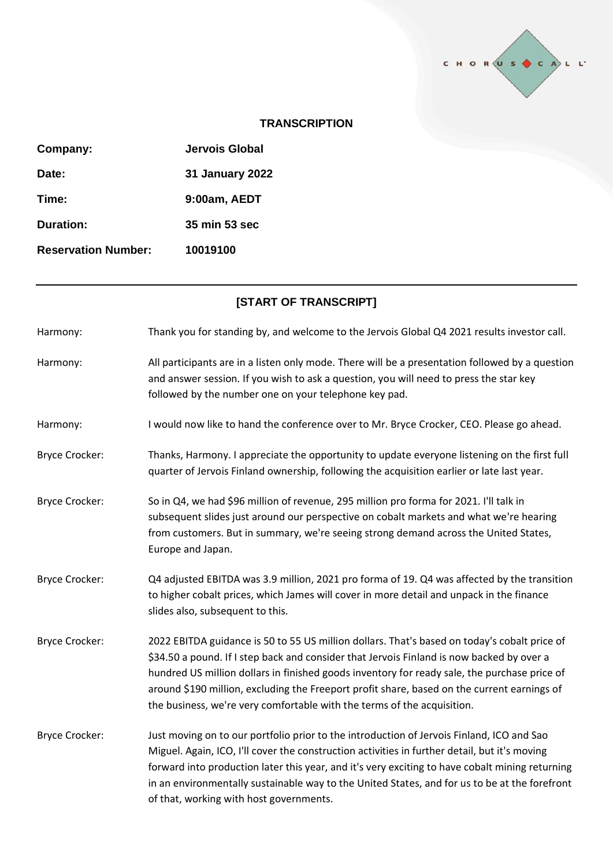

## **TRANSCRIPTION**

| Company:                   | Jervois Global         |
|----------------------------|------------------------|
| Date:                      | <b>31 January 2022</b> |
| Time:                      | 9:00am, AEDT           |
| Duration:                  | 35 min 53 sec          |
| <b>Reservation Number:</b> | 10019100               |

## **[START OF TRANSCRIPT]**

| Harmony:              | Thank you for standing by, and welcome to the Jervois Global Q4 2021 results investor call.                                                                                                                                                                                                                                                                                                                                                                         |
|-----------------------|---------------------------------------------------------------------------------------------------------------------------------------------------------------------------------------------------------------------------------------------------------------------------------------------------------------------------------------------------------------------------------------------------------------------------------------------------------------------|
| Harmony:              | All participants are in a listen only mode. There will be a presentation followed by a question<br>and answer session. If you wish to ask a question, you will need to press the star key<br>followed by the number one on your telephone key pad.                                                                                                                                                                                                                  |
| Harmony:              | I would now like to hand the conference over to Mr. Bryce Crocker, CEO. Please go ahead.                                                                                                                                                                                                                                                                                                                                                                            |
| <b>Bryce Crocker:</b> | Thanks, Harmony. I appreciate the opportunity to update everyone listening on the first full<br>quarter of Jervois Finland ownership, following the acquisition earlier or late last year.                                                                                                                                                                                                                                                                          |
| <b>Bryce Crocker:</b> | So in Q4, we had \$96 million of revenue, 295 million pro forma for 2021. I'll talk in<br>subsequent slides just around our perspective on cobalt markets and what we're hearing<br>from customers. But in summary, we're seeing strong demand across the United States,<br>Europe and Japan.                                                                                                                                                                       |
| <b>Bryce Crocker:</b> | Q4 adjusted EBITDA was 3.9 million, 2021 pro forma of 19. Q4 was affected by the transition<br>to higher cobalt prices, which James will cover in more detail and unpack in the finance<br>slides also, subsequent to this.                                                                                                                                                                                                                                         |
| <b>Bryce Crocker:</b> | 2022 EBITDA guidance is 50 to 55 US million dollars. That's based on today's cobalt price of<br>\$34.50 a pound. If I step back and consider that Jervois Finland is now backed by over a<br>hundred US million dollars in finished goods inventory for ready sale, the purchase price of<br>around \$190 million, excluding the Freeport profit share, based on the current earnings of<br>the business, we're very comfortable with the terms of the acquisition. |
| <b>Bryce Crocker:</b> | Just moving on to our portfolio prior to the introduction of Jervois Finland, ICO and Sao<br>Miguel. Again, ICO, I'll cover the construction activities in further detail, but it's moving<br>forward into production later this year, and it's very exciting to have cobalt mining returning<br>in an environmentally sustainable way to the United States, and for us to be at the forefront<br>of that, working with host governments.                           |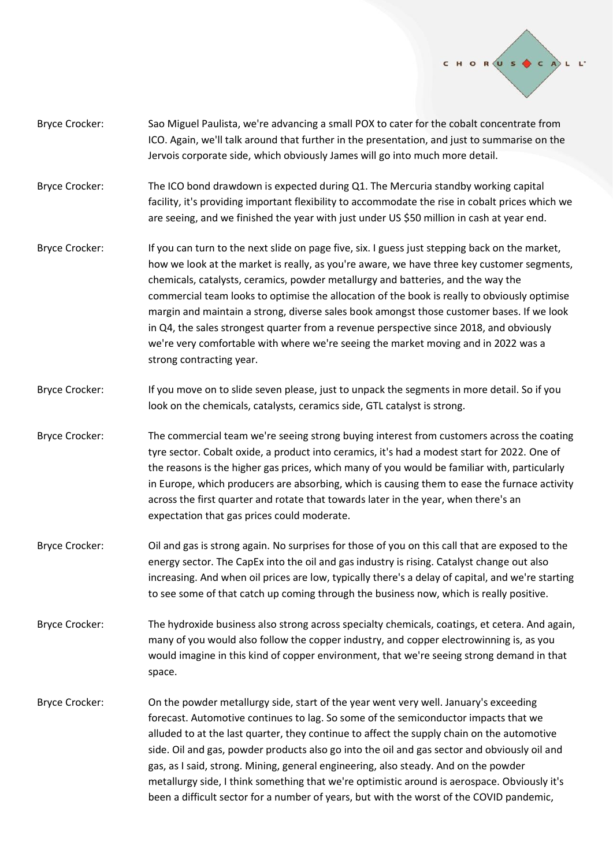

- Bryce Crocker: Sao Miguel Paulista, we're advancing a small POX to cater for the cobalt concentrate from ICO. Again, we'll talk around that further in the presentation, and just to summarise on the Jervois corporate side, which obviously James will go into much more detail.
- Bryce Crocker: The ICO bond drawdown is expected during Q1. The Mercuria standby working capital facility, it's providing important flexibility to accommodate the rise in cobalt prices which we are seeing, and we finished the year with just under US \$50 million in cash at year end.
- Bryce Crocker: If you can turn to the next slide on page five, six. I guess just stepping back on the market, how we look at the market is really, as you're aware, we have three key customer segments, chemicals, catalysts, ceramics, powder metallurgy and batteries, and the way the commercial team looks to optimise the allocation of the book is really to obviously optimise margin and maintain a strong, diverse sales book amongst those customer bases. If we look in Q4, the sales strongest quarter from a revenue perspective since 2018, and obviously we're very comfortable with where we're seeing the market moving and in 2022 was a strong contracting year.
- Bryce Crocker: If you move on to slide seven please, just to unpack the segments in more detail. So if you look on the chemicals, catalysts, ceramics side, GTL catalyst is strong.
- Bryce Crocker: The commercial team we're seeing strong buying interest from customers across the coating tyre sector. Cobalt oxide, a product into ceramics, it's had a modest start for 2022. One of the reasons is the higher gas prices, which many of you would be familiar with, particularly in Europe, which producers are absorbing, which is causing them to ease the furnace activity across the first quarter and rotate that towards later in the year, when there's an expectation that gas prices could moderate.
- Bryce Crocker: Oil and gas is strong again. No surprises for those of you on this call that are exposed to the energy sector. The CapEx into the oil and gas industry is rising. Catalyst change out also increasing. And when oil prices are low, typically there's a delay of capital, and we're starting to see some of that catch up coming through the business now, which is really positive.
- Bryce Crocker: The hydroxide business also strong across specialty chemicals, coatings, et cetera. And again, many of you would also follow the copper industry, and copper electrowinning is, as you would imagine in this kind of copper environment, that we're seeing strong demand in that space.
- Bryce Crocker: On the powder metallurgy side, start of the year went very well. January's exceeding forecast. Automotive continues to lag. So some of the semiconductor impacts that we alluded to at the last quarter, they continue to affect the supply chain on the automotive side. Oil and gas, powder products also go into the oil and gas sector and obviously oil and gas, as I said, strong. Mining, general engineering, also steady. And on the powder metallurgy side, I think something that we're optimistic around is aerospace. Obviously it's been a difficult sector for a number of years, but with the worst of the COVID pandemic,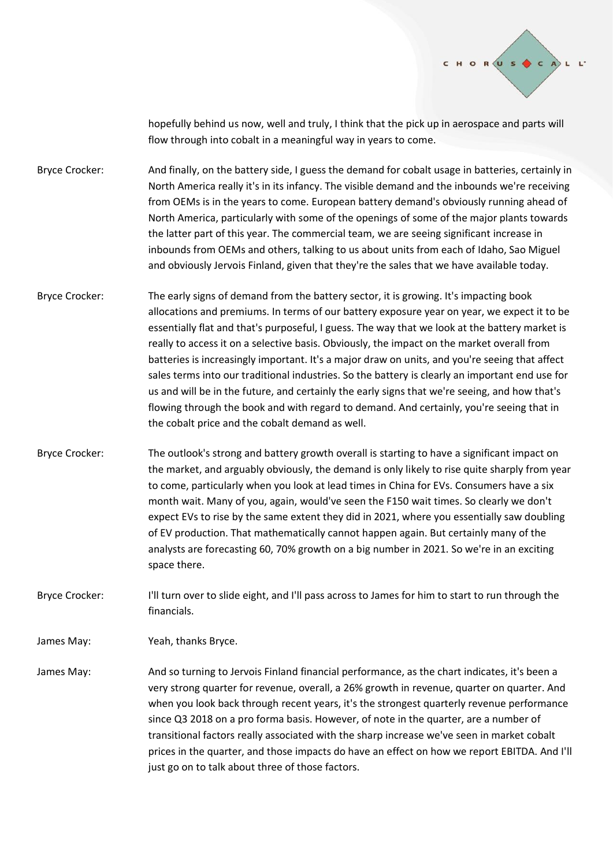

hopefully behind us now, well and truly, I think that the pick up in aerospace and parts will flow through into cobalt in a meaningful way in years to come.

Bryce Crocker: And finally, on the battery side, I guess the demand for cobalt usage in batteries, certainly in North America really it's in its infancy. The visible demand and the inbounds we're receiving from OEMs is in the years to come. European battery demand's obviously running ahead of North America, particularly with some of the openings of some of the major plants towards the latter part of this year. The commercial team, we are seeing significant increase in inbounds from OEMs and others, talking to us about units from each of Idaho, Sao Miguel and obviously Jervois Finland, given that they're the sales that we have available today.

- Bryce Crocker: The early signs of demand from the battery sector, it is growing. It's impacting book allocations and premiums. In terms of our battery exposure year on year, we expect it to be essentially flat and that's purposeful, I guess. The way that we look at the battery market is really to access it on a selective basis. Obviously, the impact on the market overall from batteries is increasingly important. It's a major draw on units, and you're seeing that affect sales terms into our traditional industries. So the battery is clearly an important end use for us and will be in the future, and certainly the early signs that we're seeing, and how that's flowing through the book and with regard to demand. And certainly, you're seeing that in the cobalt price and the cobalt demand as well.
- Bryce Crocker: The outlook's strong and battery growth overall is starting to have a significant impact on the market, and arguably obviously, the demand is only likely to rise quite sharply from year to come, particularly when you look at lead times in China for EVs. Consumers have a six month wait. Many of you, again, would've seen the F150 wait times. So clearly we don't expect EVs to rise by the same extent they did in 2021, where you essentially saw doubling of EV production. That mathematically cannot happen again. But certainly many of the analysts are forecasting 60, 70% growth on a big number in 2021. So we're in an exciting space there.
- Bryce Crocker: I'll turn over to slide eight, and I'll pass across to James for him to start to run through the financials.

James May: Yeah, thanks Bryce.

James May: And so turning to Jervois Finland financial performance, as the chart indicates, it's been a very strong quarter for revenue, overall, a 26% growth in revenue, quarter on quarter. And when you look back through recent years, it's the strongest quarterly revenue performance since Q3 2018 on a pro forma basis. However, of note in the quarter, are a number of transitional factors really associated with the sharp increase we've seen in market cobalt prices in the quarter, and those impacts do have an effect on how we report EBITDA. And I'll just go on to talk about three of those factors.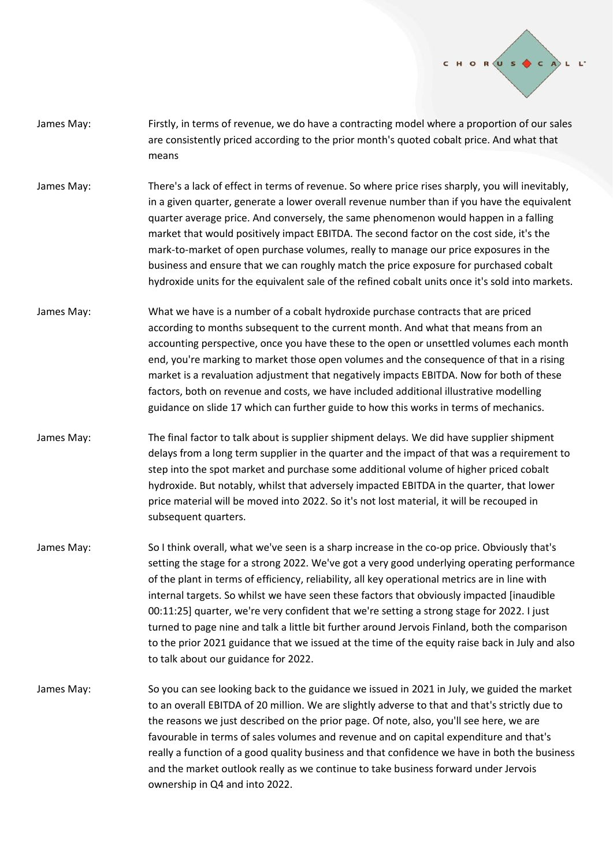

- James May: Firstly, in terms of revenue, we do have a contracting model where a proportion of our sales are consistently priced according to the prior month's quoted cobalt price. And what that means
- James May: There's a lack of effect in terms of revenue. So where price rises sharply, you will inevitably, in a given quarter, generate a lower overall revenue number than if you have the equivalent quarter average price. And conversely, the same phenomenon would happen in a falling market that would positively impact EBITDA. The second factor on the cost side, it's the mark-to-market of open purchase volumes, really to manage our price exposures in the business and ensure that we can roughly match the price exposure for purchased cobalt hydroxide units for the equivalent sale of the refined cobalt units once it's sold into markets.
- James May: What we have is a number of a cobalt hydroxide purchase contracts that are priced according to months subsequent to the current month. And what that means from an accounting perspective, once you have these to the open or unsettled volumes each month end, you're marking to market those open volumes and the consequence of that in a rising market is a revaluation adjustment that negatively impacts EBITDA. Now for both of these factors, both on revenue and costs, we have included additional illustrative modelling guidance on slide 17 which can further guide to how this works in terms of mechanics.
- James May: The final factor to talk about is supplier shipment delays. We did have supplier shipment delays from a long term supplier in the quarter and the impact of that was a requirement to step into the spot market and purchase some additional volume of higher priced cobalt hydroxide. But notably, whilst that adversely impacted EBITDA in the quarter, that lower price material will be moved into 2022. So it's not lost material, it will be recouped in subsequent quarters.
- James May: So I think overall, what we've seen is a sharp increase in the co-op price. Obviously that's setting the stage for a strong 2022. We've got a very good underlying operating performance of the plant in terms of efficiency, reliability, all key operational metrics are in line with internal targets. So whilst we have seen these factors that obviously impacted [inaudible 00:11:25] quarter, we're very confident that we're setting a strong stage for 2022. I just turned to page nine and talk a little bit further around Jervois Finland, both the comparison to the prior 2021 guidance that we issued at the time of the equity raise back in July and also to talk about our guidance for 2022.
- James May: So you can see looking back to the guidance we issued in 2021 in July, we guided the market to an overall EBITDA of 20 million. We are slightly adverse to that and that's strictly due to the reasons we just described on the prior page. Of note, also, you'll see here, we are favourable in terms of sales volumes and revenue and on capital expenditure and that's really a function of a good quality business and that confidence we have in both the business and the market outlook really as we continue to take business forward under Jervois ownership in Q4 and into 2022.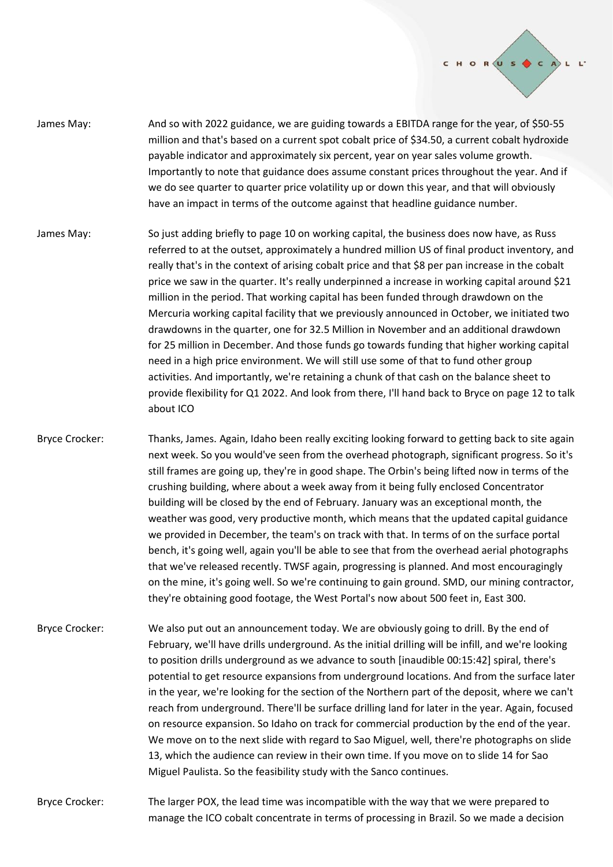

- James May: And so with 2022 guidance, we are guiding towards a EBITDA range for the year, of \$50-55 million and that's based on a current spot cobalt price of \$34.50, a current cobalt hydroxide payable indicator and approximately six percent, year on year sales volume growth. Importantly to note that guidance does assume constant prices throughout the year. And if we do see quarter to quarter price volatility up or down this year, and that will obviously have an impact in terms of the outcome against that headline guidance number.
- James May: So just adding briefly to page 10 on working capital, the business does now have, as Russ referred to at the outset, approximately a hundred million US of final product inventory, and really that's in the context of arising cobalt price and that \$8 per pan increase in the cobalt price we saw in the quarter. It's really underpinned a increase in working capital around \$21 million in the period. That working capital has been funded through drawdown on the Mercuria working capital facility that we previously announced in October, we initiated two drawdowns in the quarter, one for 32.5 Million in November and an additional drawdown for 25 million in December. And those funds go towards funding that higher working capital need in a high price environment. We will still use some of that to fund other group activities. And importantly, we're retaining a chunk of that cash on the balance sheet to provide flexibility for Q1 2022. And look from there, I'll hand back to Bryce on page 12 to talk about ICO
- Bryce Crocker: Thanks, James. Again, Idaho been really exciting looking forward to getting back to site again next week. So you would've seen from the overhead photograph, significant progress. So it's still frames are going up, they're in good shape. The Orbin's being lifted now in terms of the crushing building, where about a week away from it being fully enclosed Concentrator building will be closed by the end of February. January was an exceptional month, the weather was good, very productive month, which means that the updated capital guidance we provided in December, the team's on track with that. In terms of on the surface portal bench, it's going well, again you'll be able to see that from the overhead aerial photographs that we've released recently. TWSF again, progressing is planned. And most encouragingly on the mine, it's going well. So we're continuing to gain ground. SMD, our mining contractor, they're obtaining good footage, the West Portal's now about 500 feet in, East 300.
- Bryce Crocker: We also put out an announcement today. We are obviously going to drill. By the end of February, we'll have drills underground. As the initial drilling will be infill, and we're looking to position drills underground as we advance to south [inaudible 00:15:42] spiral, there's potential to get resource expansions from underground locations. And from the surface later in the year, we're looking for the section of the Northern part of the deposit, where we can't reach from underground. There'll be surface drilling land for later in the year. Again, focused on resource expansion. So Idaho on track for commercial production by the end of the year. We move on to the next slide with regard to Sao Miguel, well, there're photographs on slide 13, which the audience can review in their own time. If you move on to slide 14 for Sao Miguel Paulista. So the feasibility study with the Sanco continues.
- Bryce Crocker: The larger POX, the lead time was incompatible with the way that we were prepared to manage the ICO cobalt concentrate in terms of processing in Brazil. So we made a decision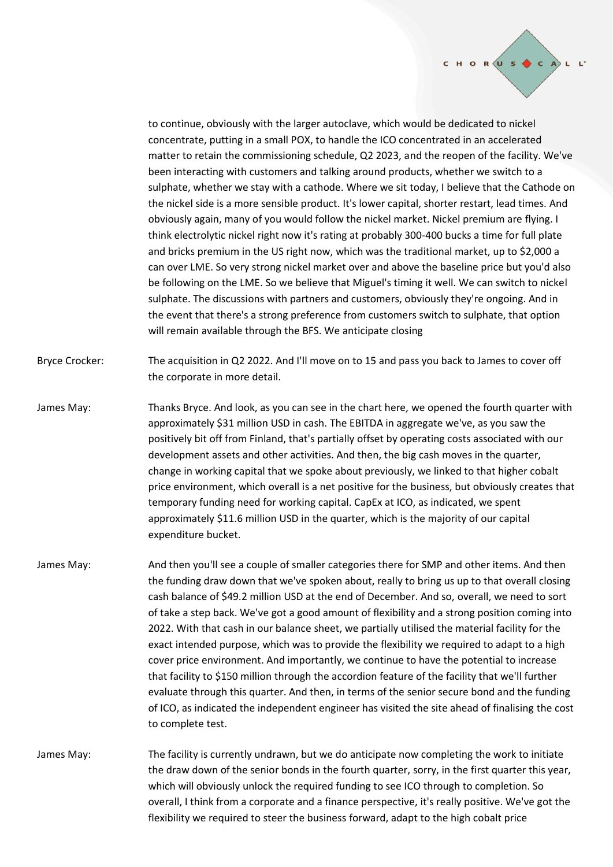

to continue, obviously with the larger autoclave, which would be dedicated to nickel concentrate, putting in a small POX, to handle the ICO concentrated in an accelerated matter to retain the commissioning schedule, Q2 2023, and the reopen of the facility. We've been interacting with customers and talking around products, whether we switch to a sulphate, whether we stay with a cathode. Where we sit today, I believe that the Cathode on the nickel side is a more sensible product. It's lower capital, shorter restart, lead times. And obviously again, many of you would follow the nickel market. Nickel premium are flying. I think electrolytic nickel right now it's rating at probably 300-400 bucks a time for full plate and bricks premium in the US right now, which was the traditional market, up to \$2,000 a can over LME. So very strong nickel market over and above the baseline price but you'd also be following on the LME. So we believe that Miguel's timing it well. We can switch to nickel sulphate. The discussions with partners and customers, obviously they're ongoing. And in the event that there's a strong preference from customers switch to sulphate, that option will remain available through the BFS. We anticipate closing

Bryce Crocker: The acquisition in Q2 2022. And I'll move on to 15 and pass you back to James to cover off the corporate in more detail.

- James May: Thanks Bryce. And look, as you can see in the chart here, we opened the fourth quarter with approximately \$31 million USD in cash. The EBITDA in aggregate we've, as you saw the positively bit off from Finland, that's partially offset by operating costs associated with our development assets and other activities. And then, the big cash moves in the quarter, change in working capital that we spoke about previously, we linked to that higher cobalt price environment, which overall is a net positive for the business, but obviously creates that temporary funding need for working capital. CapEx at ICO, as indicated, we spent approximately \$11.6 million USD in the quarter, which is the majority of our capital expenditure bucket.
- James May: And then you'll see a couple of smaller categories there for SMP and other items. And then the funding draw down that we've spoken about, really to bring us up to that overall closing cash balance of \$49.2 million USD at the end of December. And so, overall, we need to sort of take a step back. We've got a good amount of flexibility and a strong position coming into 2022. With that cash in our balance sheet, we partially utilised the material facility for the exact intended purpose, which was to provide the flexibility we required to adapt to a high cover price environment. And importantly, we continue to have the potential to increase that facility to \$150 million through the accordion feature of the facility that we'll further evaluate through this quarter. And then, in terms of the senior secure bond and the funding of ICO, as indicated the independent engineer has visited the site ahead of finalising the cost to complete test.
- James May: The facility is currently undrawn, but we do anticipate now completing the work to initiate the draw down of the senior bonds in the fourth quarter, sorry, in the first quarter this year, which will obviously unlock the required funding to see ICO through to completion. So overall, I think from a corporate and a finance perspective, it's really positive. We've got the flexibility we required to steer the business forward, adapt to the high cobalt price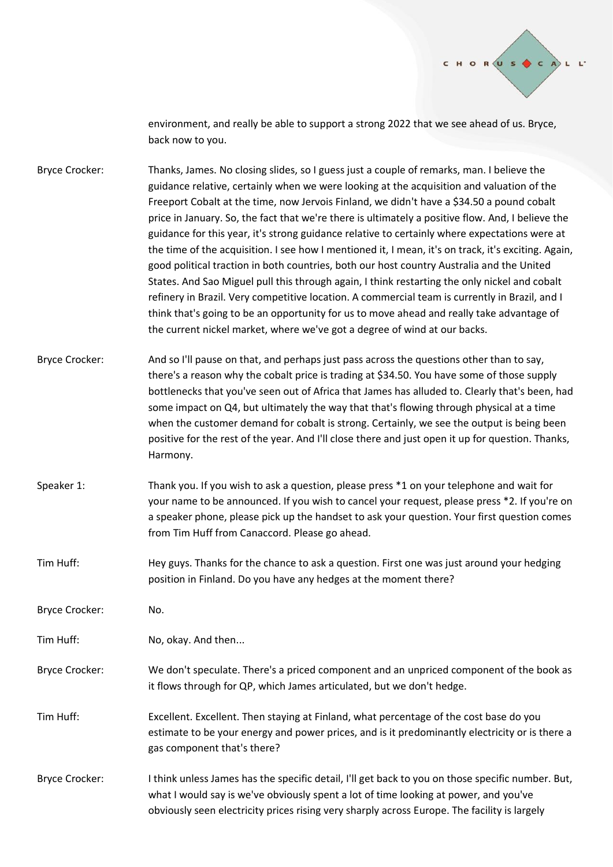

environment, and really be able to support a strong 2022 that we see ahead of us. Bryce, back now to you.

- Bryce Crocker: Thanks, James. No closing slides, so I guess just a couple of remarks, man. I believe the guidance relative, certainly when we were looking at the acquisition and valuation of the Freeport Cobalt at the time, now Jervois Finland, we didn't have a \$34.50 a pound cobalt price in January. So, the fact that we're there is ultimately a positive flow. And, I believe the guidance for this year, it's strong guidance relative to certainly where expectations were at the time of the acquisition. I see how I mentioned it, I mean, it's on track, it's exciting. Again, good political traction in both countries, both our host country Australia and the United States. And Sao Miguel pull this through again, I think restarting the only nickel and cobalt refinery in Brazil. Very competitive location. A commercial team is currently in Brazil, and I think that's going to be an opportunity for us to move ahead and really take advantage of the current nickel market, where we've got a degree of wind at our backs.
- Bryce Crocker: And so I'll pause on that, and perhaps just pass across the questions other than to say, there's a reason why the cobalt price is trading at \$34.50. You have some of those supply bottlenecks that you've seen out of Africa that James has alluded to. Clearly that's been, had some impact on Q4, but ultimately the way that that's flowing through physical at a time when the customer demand for cobalt is strong. Certainly, we see the output is being been positive for the rest of the year. And I'll close there and just open it up for question. Thanks, Harmony.
- Speaker 1: Thank you. If you wish to ask a question, please press \*1 on your telephone and wait for your name to be announced. If you wish to cancel your request, please press \*2. If you're on a speaker phone, please pick up the handset to ask your question. Your first question comes from Tim Huff from Canaccord. Please go ahead.
- Tim Huff: Hey guys. Thanks for the chance to ask a question. First one was just around your hedging position in Finland. Do you have any hedges at the moment there?
- Bryce Crocker: No.

Tim Huff: No, okay. And then...

- Bryce Crocker: We don't speculate. There's a priced component and an unpriced component of the book as it flows through for QP, which James articulated, but we don't hedge.
- Tim Huff: Excellent. Excellent. Then staying at Finland, what percentage of the cost base do you estimate to be your energy and power prices, and is it predominantly electricity or is there a gas component that's there?
- Bryce Crocker: I think unless James has the specific detail, I'll get back to you on those specific number. But, what I would say is we've obviously spent a lot of time looking at power, and you've obviously seen electricity prices rising very sharply across Europe. The facility is largely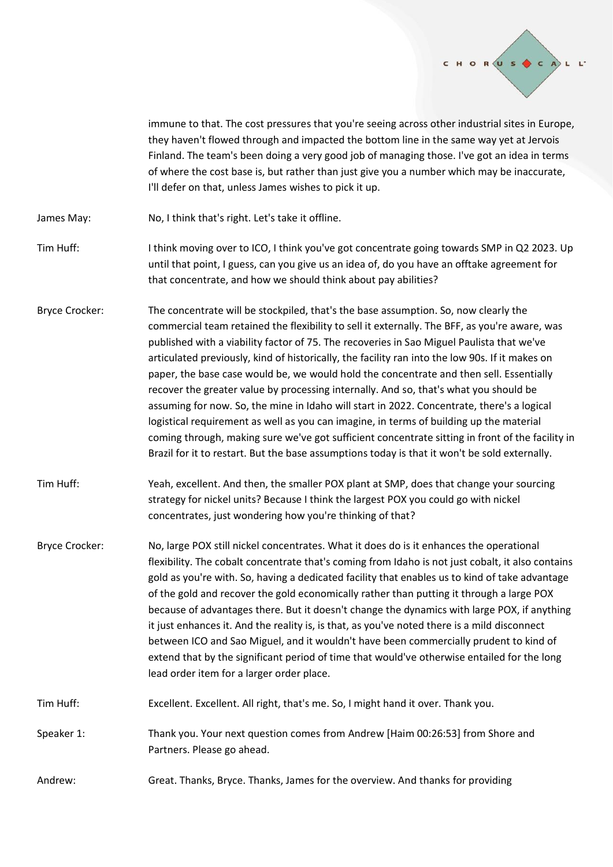

immune to that. The cost pressures that you're seeing across other industrial sites in Europe, they haven't flowed through and impacted the bottom line in the same way yet at Jervois Finland. The team's been doing a very good job of managing those. I've got an idea in terms of where the cost base is, but rather than just give you a number which may be inaccurate, I'll defer on that, unless James wishes to pick it up.

- James May: No, I think that's right. Let's take it offline.
- Tim Huff: Ithink moving over to ICO, I think you've got concentrate going towards SMP in Q2 2023. Up until that point, I guess, can you give us an idea of, do you have an offtake agreement for that concentrate, and how we should think about pay abilities?
- Bryce Crocker: The concentrate will be stockpiled, that's the base assumption. So, now clearly the commercial team retained the flexibility to sell it externally. The BFF, as you're aware, was published with a viability factor of 75. The recoveries in Sao Miguel Paulista that we've articulated previously, kind of historically, the facility ran into the low 90s. If it makes on paper, the base case would be, we would hold the concentrate and then sell. Essentially recover the greater value by processing internally. And so, that's what you should be assuming for now. So, the mine in Idaho will start in 2022. Concentrate, there's a logical logistical requirement as well as you can imagine, in terms of building up the material coming through, making sure we've got sufficient concentrate sitting in front of the facility in Brazil for it to restart. But the base assumptions today is that it won't be sold externally.
- Tim Huff: Yeah, excellent. And then, the smaller POX plant at SMP, does that change your sourcing strategy for nickel units? Because I think the largest POX you could go with nickel concentrates, just wondering how you're thinking of that?
- Bryce Crocker: No, large POX still nickel concentrates. What it does do is it enhances the operational flexibility. The cobalt concentrate that's coming from Idaho is not just cobalt, it also contains gold as you're with. So, having a dedicated facility that enables us to kind of take advantage of the gold and recover the gold economically rather than putting it through a large POX because of advantages there. But it doesn't change the dynamics with large POX, if anything it just enhances it. And the reality is, is that, as you've noted there is a mild disconnect between ICO and Sao Miguel, and it wouldn't have been commercially prudent to kind of extend that by the significant period of time that would've otherwise entailed for the long lead order item for a larger order place.
- Tim Huff: Excellent. Excellent. All right, that's me. So, I might hand it over. Thank you.
- Speaker 1: Thank you. Your next question comes from Andrew [Haim 00:26:53] from Shore and Partners. Please go ahead.
- Andrew: Great. Thanks, Bryce. Thanks, James for the overview. And thanks for providing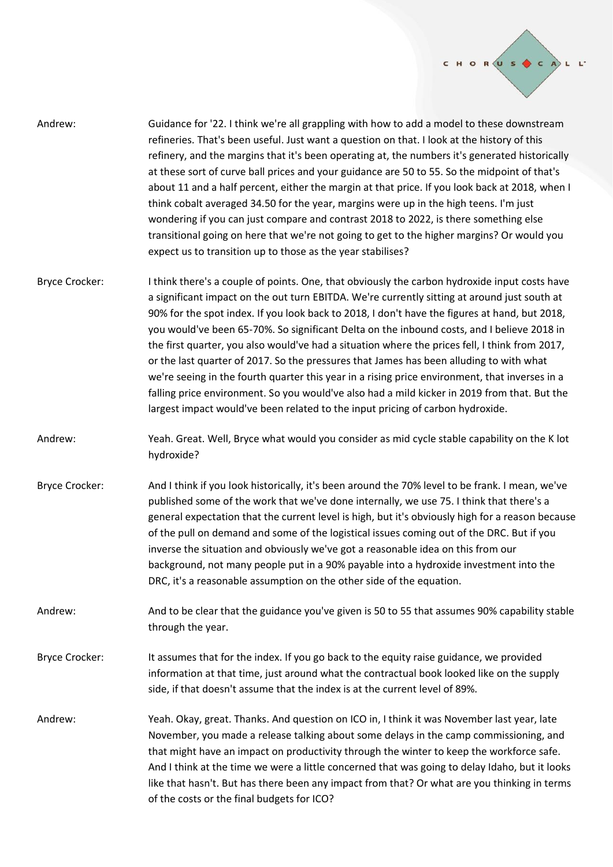

- Andrew: Guidance for '22. I think we're all grappling with how to add a model to these downstream refineries. That's been useful. Just want a question on that. I look at the history of this refinery, and the margins that it's been operating at, the numbers it's generated historically at these sort of curve ball prices and your guidance are 50 to 55. So the midpoint of that's about 11 and a half percent, either the margin at that price. If you look back at 2018, when I think cobalt averaged 34.50 for the year, margins were up in the high teens. I'm just wondering if you can just compare and contrast 2018 to 2022, is there something else transitional going on here that we're not going to get to the higher margins? Or would you expect us to transition up to those as the year stabilises?
- Bryce Crocker: I think there's a couple of points. One, that obviously the carbon hydroxide input costs have a significant impact on the out turn EBITDA. We're currently sitting at around just south at 90% for the spot index. If you look back to 2018, I don't have the figures at hand, but 2018, you would've been 65-70%. So significant Delta on the inbound costs, and I believe 2018 in the first quarter, you also would've had a situation where the prices fell, I think from 2017, or the last quarter of 2017. So the pressures that James has been alluding to with what we're seeing in the fourth quarter this year in a rising price environment, that inverses in a falling price environment. So you would've also had a mild kicker in 2019 from that. But the largest impact would've been related to the input pricing of carbon hydroxide.
- Andrew: Yeah. Great. Well, Bryce what would you consider as mid cycle stable capability on the K lot hydroxide?
- Bryce Crocker: And I think if you look historically, it's been around the 70% level to be frank. I mean, we've published some of the work that we've done internally, we use 75. I think that there's a general expectation that the current level is high, but it's obviously high for a reason because of the pull on demand and some of the logistical issues coming out of the DRC. But if you inverse the situation and obviously we've got a reasonable idea on this from our background, not many people put in a 90% payable into a hydroxide investment into the DRC, it's a reasonable assumption on the other side of the equation.
- Andrew: And to be clear that the guidance you've given is 50 to 55 that assumes 90% capability stable through the year.
- Bryce Crocker: It assumes that for the index. If you go back to the equity raise guidance, we provided information at that time, just around what the contractual book looked like on the supply side, if that doesn't assume that the index is at the current level of 89%.
- Andrew: Yeah. Okay, great. Thanks. And question on ICO in, I think it was November last year, late November, you made a release talking about some delays in the camp commissioning, and that might have an impact on productivity through the winter to keep the workforce safe. And I think at the time we were a little concerned that was going to delay Idaho, but it looks like that hasn't. But has there been any impact from that? Or what are you thinking in terms of the costs or the final budgets for ICO?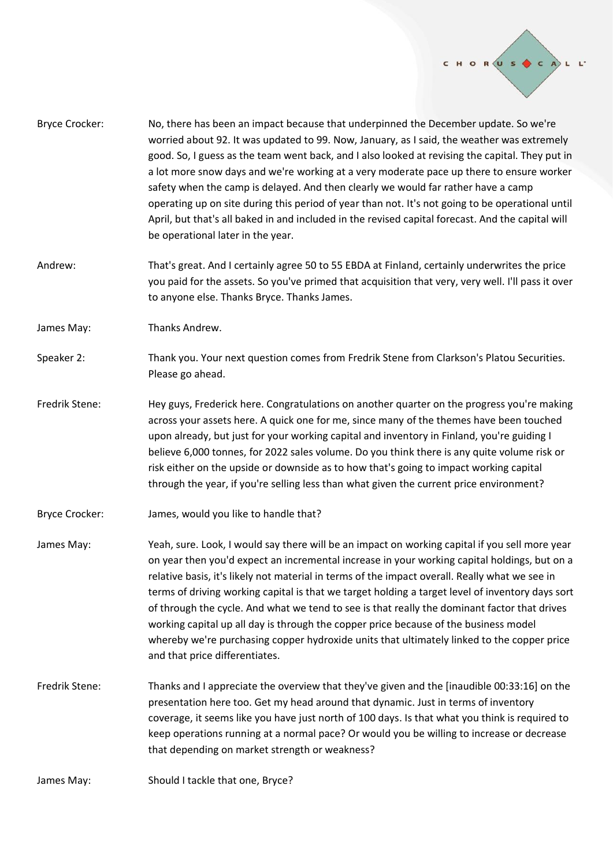

- Bryce Crocker: No, there has been an impact because that underpinned the December update. So we're worried about 92. It was updated to 99. Now, January, as I said, the weather was extremely good. So, I guess as the team went back, and I also looked at revising the capital. They put in a lot more snow days and we're working at a very moderate pace up there to ensure worker safety when the camp is delayed. And then clearly we would far rather have a camp operating up on site during this period of year than not. It's not going to be operational until April, but that's all baked in and included in the revised capital forecast. And the capital will be operational later in the year.
- Andrew: That's great. And I certainly agree 50 to 55 EBDA at Finland, certainly underwrites the price you paid for the assets. So you've primed that acquisition that very, very well. I'll pass it over to anyone else. Thanks Bryce. Thanks James.
- James May: Thanks Andrew.
- Speaker 2: Thank you. Your next question comes from Fredrik Stene from Clarkson's Platou Securities. Please go ahead.
- Fredrik Stene: Hey guys, Frederick here. Congratulations on another quarter on the progress you're making across your assets here. A quick one for me, since many of the themes have been touched upon already, but just for your working capital and inventory in Finland, you're guiding I believe 6,000 tonnes, for 2022 sales volume. Do you think there is any quite volume risk or risk either on the upside or downside as to how that's going to impact working capital through the year, if you're selling less than what given the current price environment?
- Bryce Crocker: James, would you like to handle that?
- James May: Yeah, sure. Look, I would say there will be an impact on working capital if you sell more year on year then you'd expect an incremental increase in your working capital holdings, but on a relative basis, it's likely not material in terms of the impact overall. Really what we see in terms of driving working capital is that we target holding a target level of inventory days sort of through the cycle. And what we tend to see is that really the dominant factor that drives working capital up all day is through the copper price because of the business model whereby we're purchasing copper hydroxide units that ultimately linked to the copper price and that price differentiates.
- Fredrik Stene: Thanks and I appreciate the overview that they've given and the [inaudible 00:33:16] on the presentation here too. Get my head around that dynamic. Just in terms of inventory coverage, it seems like you have just north of 100 days. Is that what you think is required to keep operations running at a normal pace? Or would you be willing to increase or decrease that depending on market strength or weakness?
- James May: Should I tackle that one, Bryce?